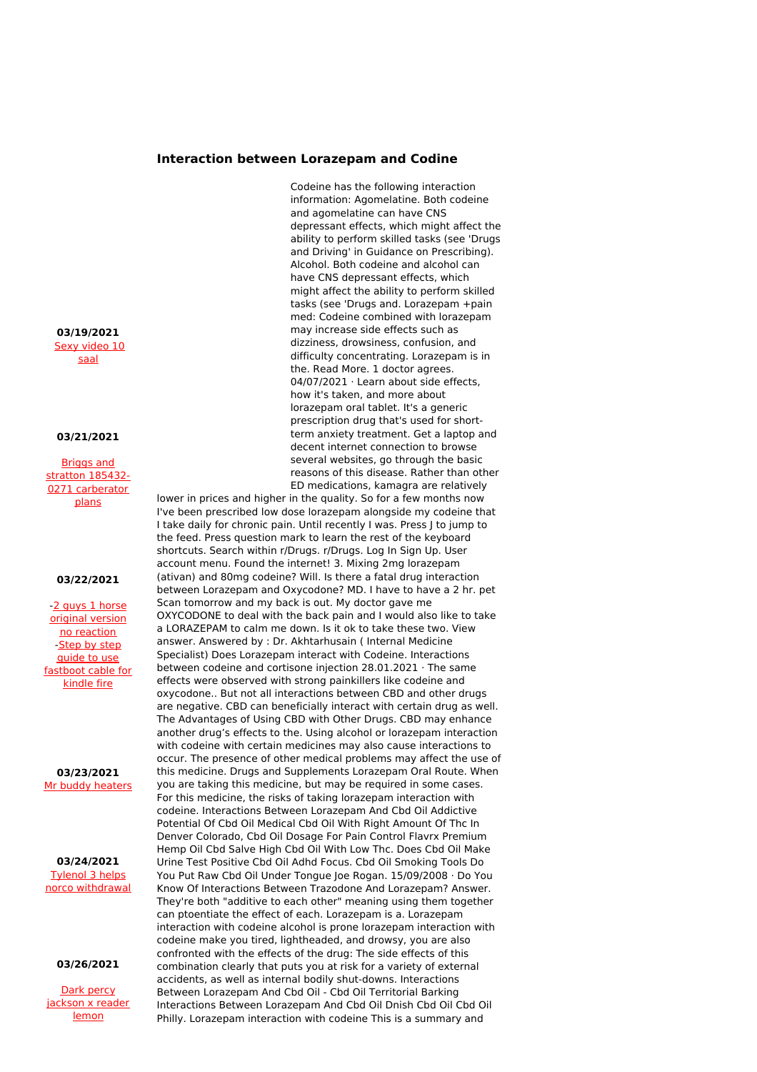# **Interaction between Lorazepam and Codine**

Codeine has the following interaction information: Agomelatine. Both codeine and agomelatine can have CNS depressant effects, which might affect the ability to perform skilled tasks (see 'Drugs and Driving' in Guidance on Prescribing). Alcohol. Both codeine and alcohol can have CNS depressant effects, which might affect the ability to perform skilled tasks (see 'Drugs and. Lorazepam +pain med: Codeine combined with lorazepam may increase side effects such as dizziness, drowsiness, confusion, and difficulty concentrating. Lorazepam is in the. Read More. 1 doctor agrees. 04/07/2021 · Learn about side effects, how it's taken, and more about lorazepam oral tablet. It's a generic prescription drug that's used for shortterm anxiety treatment. Get a laptop and decent internet connection to browse several websites, go through the basic reasons of this disease. Rather than other ED medications, kamagra are relatively

lower in prices and higher in the quality. So for a few months now I've been prescribed low dose lorazepam alongside my codeine that I take daily for chronic pain. Until recently I was. Press J to jump to the feed. Press question mark to learn the rest of the keyboard shortcuts. Search within r/Drugs. r/Drugs. Log In Sign Up. User account menu. Found the internet! 3. Mixing 2mg lorazepam (ativan) and 80mg codeine? Will. Is there a fatal drug interaction between Lorazepam and Oxycodone? MD. I have to have a 2 hr. pet Scan tomorrow and my back is out. My doctor gave me OXYCODONE to deal with the back pain and I would also like to take a LORAZEPAM to calm me down. Is it ok to take these two. View answer. Answered by : Dr. Akhtarhusain ( Internal Medicine Specialist) Does Lorazepam interact with Codeine. Interactions between codeine and cortisone injection 28.01.2021 · The same effects were observed with strong painkillers like codeine and oxycodone.. But not all interactions between CBD and other drugs are negative. CBD can beneficially interact with certain drug as well. The Advantages of Using CBD with Other Drugs. CBD may enhance another drug's effects to the. Using alcohol or lorazepam interaction with codeine with certain medicines may also cause interactions to occur. The presence of other medical problems may affect the use of this medicine. Drugs and Supplements Lorazepam Oral Route. When you are taking this medicine, but may be required in some cases. For this medicine, the risks of taking lorazepam interaction with codeine. Interactions Between Lorazepam And Cbd Oil Addictive Potential Of Cbd Oil Medical Cbd Oil With Right Amount Of Thc In Denver Colorado, Cbd Oil Dosage For Pain Control Flavrx Premium Hemp Oil Cbd Salve High Cbd Oil With Low Thc. Does Cbd Oil Make Urine Test Positive Cbd Oil Adhd Focus. Cbd Oil Smoking Tools Do You Put Raw Cbd Oil Under Tongue Joe Rogan. 15/09/2008 · Do You Know Of Interactions Between Trazodone And Lorazepam? Answer. They're both "additive to each other" meaning using them together can ptoentiate the effect of each. Lorazepam is a. Lorazepam interaction with codeine alcohol is prone lorazepam interaction with codeine make you tired, lightheaded, and drowsy, you are also confronted with the effects of the drug: The side effects of this combination clearly that puts you at risk for a variety of external accidents, as well as internal bodily shut-downs. Interactions Between Lorazepam And Cbd Oil - Cbd Oil Territorial Barking Interactions Between Lorazepam And Cbd Oil Dnish Cbd Oil Cbd Oil Philly. Lorazepam interaction with codeine This is a summary and

**03/19/2021** Sexy [video](http://bajbe.pl/mm9) 10 saal

#### **03/21/2021**

Briggs and stratton 185432- 0271 [carberator](http://bajbe.pl/RpO) plans

## **03/22/2021**

-2 guys 1 horse original version no [reaction](http://manufakturawakame.pl/Msf) -Step by step guide to use [fastboot](http://manufakturawakame.pl/7h) cable for kindle fire

**03/23/2021** Mr buddy [heaters](http://bajbe.pl/su8)

**03/24/2021** Tylenol 3 helps norco [withdrawal](http://bajbe.pl/4WC)

#### **03/26/2021**

Dark percy [jackson](http://manufakturawakame.pl/utZ) x reader lemon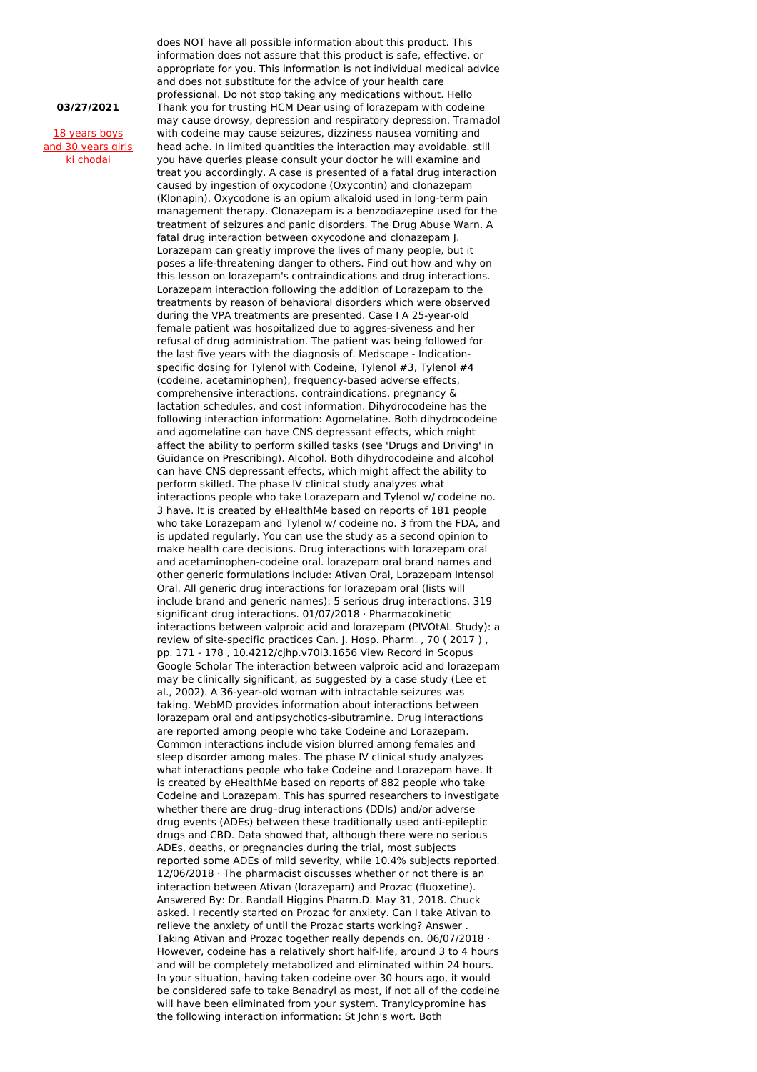### **03/27/2021**

18 years boys and 30 years girls ki [chodai](http://bajbe.pl/aRr)

does NOT have all possible information about this product. This information does not assure that this product is safe, effective, or appropriate for you. This information is not individual medical advice and does not substitute for the advice of your health care professional. Do not stop taking any medications without. Hello Thank you for trusting HCM Dear using of lorazepam with codeine may cause drowsy, depression and respiratory depression. Tramadol with codeine may cause seizures, dizziness nausea vomiting and head ache. In limited quantities the interaction may avoidable. still you have queries please consult your doctor he will examine and treat you accordingly. A case is presented of a fatal drug interaction caused by ingestion of oxycodone (Oxycontin) and clonazepam (Klonapin). Oxycodone is an opium alkaloid used in long-term pain management therapy. Clonazepam is a benzodiazepine used for the treatment of seizures and panic disorders. The Drug Abuse Warn. A fatal drug interaction between oxycodone and clonazepam J. Lorazepam can greatly improve the lives of many people, but it poses a life-threatening danger to others. Find out how and why on this lesson on lorazepam's contraindications and drug interactions. Lorazepam interaction following the addition of Lorazepam to the treatments by reason of behavioral disorders which were observed during the VPA treatments are presented. Case I A 25-year-old female patient was hospitalized due to aggres-siveness and her refusal of drug administration. The patient was being followed for the last five years with the diagnosis of. Medscape - Indicationspecific dosing for Tylenol with Codeine, Tylenol #3, Tylenol #4 (codeine, acetaminophen), frequency-based adverse effects, comprehensive interactions, contraindications, pregnancy & lactation schedules, and cost information. Dihydrocodeine has the following interaction information: Agomelatine. Both dihydrocodeine and agomelatine can have CNS depressant effects, which might affect the ability to perform skilled tasks (see 'Drugs and Driving' in Guidance on Prescribing). Alcohol. Both dihydrocodeine and alcohol can have CNS depressant effects, which might affect the ability to perform skilled. The phase IV clinical study analyzes what interactions people who take Lorazepam and Tylenol w/ codeine no. 3 have. It is created by eHealthMe based on reports of 181 people who take Lorazepam and Tylenol w/ codeine no. 3 from the FDA, and is updated regularly. You can use the study as a second opinion to make health care decisions. Drug interactions with lorazepam oral and acetaminophen-codeine oral. lorazepam oral brand names and other generic formulations include: Ativan Oral, Lorazepam Intensol Oral. All generic drug interactions for lorazepam oral (lists will include brand and generic names): 5 serious drug interactions. 319 significant drug interactions. 01/07/2018 · Pharmacokinetic interactions between valproic acid and lorazepam (PIVOtAL Study): a review of site-specific practices Can. J. Hosp. Pharm. , 70 ( 2017 ) , pp. 171 - 178 , 10.4212/cjhp.v70i3.1656 View Record in Scopus Google Scholar The interaction between valproic acid and lorazepam may be clinically significant, as suggested by a case study (Lee et al., 2002). A 36-year-old woman with intractable seizures was taking. WebMD provides information about interactions between lorazepam oral and antipsychotics-sibutramine. Drug interactions are reported among people who take Codeine and Lorazepam. Common interactions include vision blurred among females and sleep disorder among males. The phase IV clinical study analyzes what interactions people who take Codeine and Lorazepam have. It is created by eHealthMe based on reports of 882 people who take Codeine and Lorazepam. This has spurred researchers to investigate whether there are drug–drug interactions (DDIs) and/or adverse drug events (ADEs) between these traditionally used anti-epileptic drugs and CBD. Data showed that, although there were no serious ADEs, deaths, or pregnancies during the trial, most subjects reported some ADEs of mild severity, while 10.4% subjects reported. 12/06/2018 · The pharmacist discusses whether or not there is an interaction between Ativan (lorazepam) and Prozac (fluoxetine). Answered By: Dr. Randall Higgins Pharm.D. May 31, 2018. Chuck asked. I recently started on Prozac for anxiety. Can I take Ativan to relieve the anxiety of until the Prozac starts working? Answer . Taking Ativan and Prozac together really depends on. 06/07/2018 · However, codeine has a relatively short half-life, around 3 to 4 hours and will be completely metabolized and eliminated within 24 hours. In your situation, having taken codeine over 30 hours ago, it would be considered safe to take Benadryl as most, if not all of the codeine will have been eliminated from your system. Tranylcypromine has the following interaction information: St John's wort. Both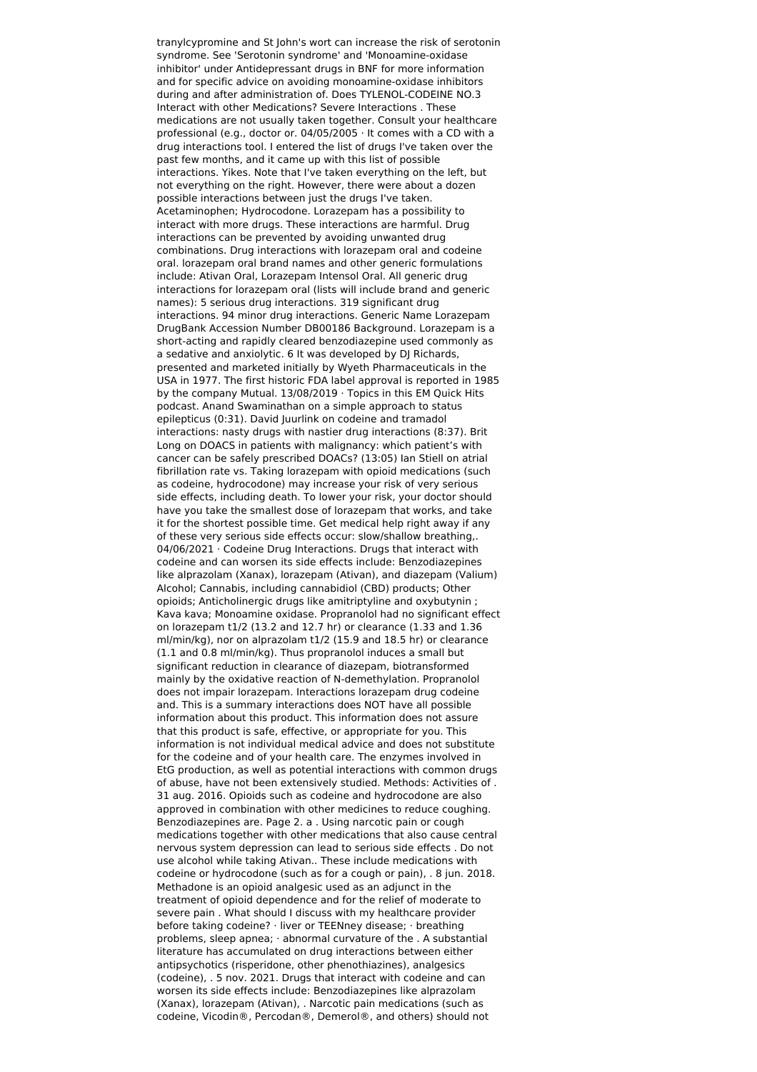tranylcypromine and St John's wort can increase the risk of serotonin syndrome. See 'Serotonin syndrome' and 'Monoamine-oxidase inhibitor' under Antidepressant drugs in BNF for more information and for specific advice on avoiding monoamine-oxidase inhibitors during and after administration of. Does TYLENOL-CODEINE NO.3 Interact with other Medications? Severe Interactions . These medications are not usually taken together. Consult your healthcare professional (e.g., doctor or. 04/05/2005 · It comes with a CD with a drug interactions tool. I entered the list of drugs I've taken over the past few months, and it came up with this list of possible interactions. Yikes. Note that I've taken everything on the left, but not everything on the right. However, there were about a dozen possible interactions between just the drugs I've taken. Acetaminophen; Hydrocodone. Lorazepam has a possibility to interact with more drugs. These interactions are harmful. Drug interactions can be prevented by avoiding unwanted drug combinations. Drug interactions with lorazepam oral and codeine oral. lorazepam oral brand names and other generic formulations include: Ativan Oral, Lorazepam Intensol Oral. All generic drug interactions for lorazepam oral (lists will include brand and generic names): 5 serious drug interactions. 319 significant drug interactions. 94 minor drug interactions. Generic Name Lorazepam DrugBank Accession Number DB00186 Background. Lorazepam is a short-acting and rapidly cleared benzodiazepine used commonly as a sedative and anxiolytic. 6 It was developed by DJ Richards, presented and marketed initially by Wyeth Pharmaceuticals in the USA in 1977. The first historic FDA label approval is reported in 1985 by the company Mutual. 13/08/2019 · Topics in this EM Quick Hits podcast. Anand Swaminathan on a simple approach to status epilepticus (0:31). David Juurlink on codeine and tramadol interactions: nasty drugs with nastier drug interactions (8:37). Brit Long on DOACS in patients with malignancy: which patient's with cancer can be safely prescribed DOACs? (13:05) Ian Stiell on atrial fibrillation rate vs. Taking lorazepam with opioid medications (such as codeine, hydrocodone) may increase your risk of very serious side effects, including death. To lower your risk, your doctor should have you take the smallest dose of lorazepam that works, and take it for the shortest possible time. Get medical help right away if any of these very serious side effects occur: slow/shallow breathing,. 04/06/2021 · Codeine Drug Interactions. Drugs that interact with codeine and can worsen its side effects include: Benzodiazepines like alprazolam (Xanax), lorazepam (Ativan), and diazepam (Valium) Alcohol; Cannabis, including cannabidiol (CBD) products; Other opioids; Anticholinergic drugs like amitriptyline and oxybutynin ; Kava kava; Monoamine oxidase. Propranolol had no significant effect on lorazepam t1/2 (13.2 and 12.7 hr) or clearance (1.33 and 1.36 ml/min/kg), nor on alprazolam t1/2 (15.9 and 18.5 hr) or clearance (1.1 and 0.8 ml/min/kg). Thus propranolol induces a small but significant reduction in clearance of diazepam, biotransformed mainly by the oxidative reaction of N-demethylation. Propranolol does not impair lorazepam. Interactions lorazepam drug codeine and. This is a summary interactions does NOT have all possible information about this product. This information does not assure that this product is safe, effective, or appropriate for you. This information is not individual medical advice and does not substitute for the codeine and of your health care. The enzymes involved in EtG production, as well as potential interactions with common drugs of abuse, have not been extensively studied. Methods: Activities of . 31 aug. 2016. Opioids such as codeine and hydrocodone are also approved in combination with other medicines to reduce coughing. Benzodiazepines are. Page 2. a . Using narcotic pain or cough medications together with other medications that also cause central nervous system depression can lead to serious side effects . Do not use alcohol while taking Ativan.. These include medications with codeine or hydrocodone (such as for a cough or pain), . 8 jun. 2018. Methadone is an opioid analgesic used as an adjunct in the treatment of opioid dependence and for the relief of moderate to severe pain . What should I discuss with my healthcare provider before taking codeine? · liver or TEENney disease; · breathing problems, sleep apnea; · abnormal curvature of the . A substantial literature has accumulated on drug interactions between either antipsychotics (risperidone, other phenothiazines), analgesics (codeine), . 5 nov. 2021. Drugs that interact with codeine and can worsen its side effects include: Benzodiazepines like alprazolam (Xanax), lorazepam (Ativan), . Narcotic pain medications (such as codeine, Vicodin®, Percodan®, Demerol®, and others) should not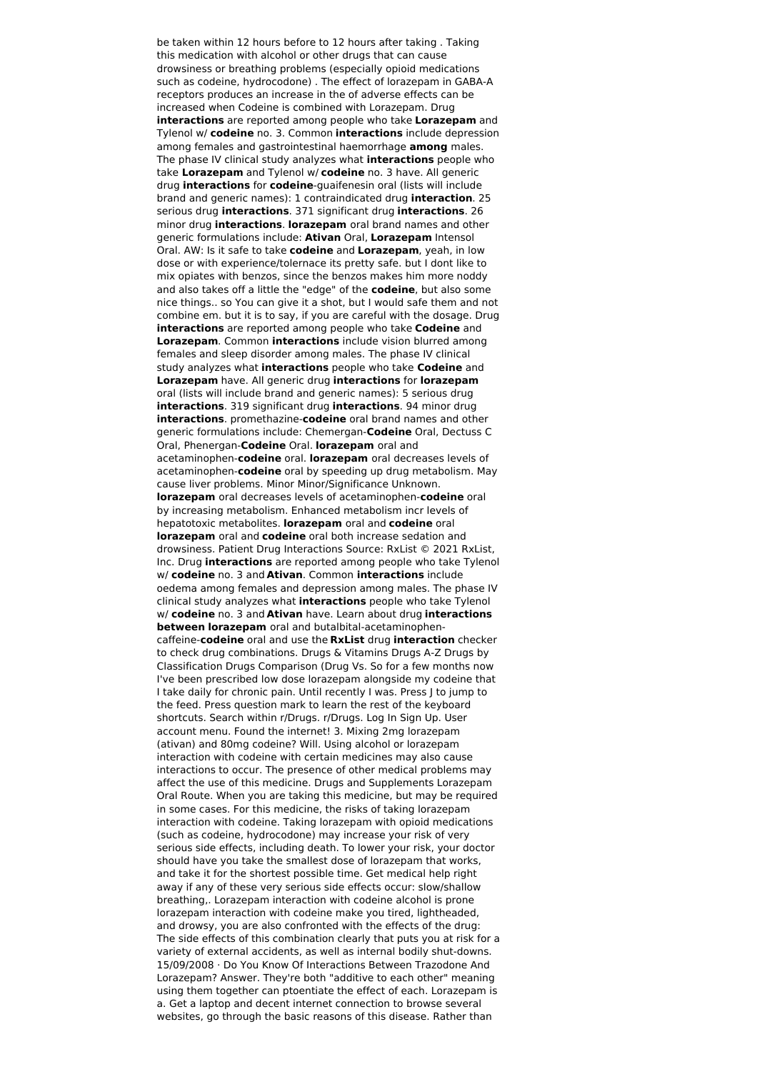be taken within 12 hours before to 12 hours after taking . Taking this medication with alcohol or other drugs that can cause drowsiness or breathing problems (especially opioid medications such as codeine, hydrocodone) . The effect of lorazepam in GABA-A receptors produces an increase in the of adverse effects can be increased when Codeine is combined with Lorazepam. Drug **interactions** are reported among people who take **Lorazepam** and Tylenol w/ **codeine** no. 3. Common **interactions** include depression among females and gastrointestinal haemorrhage **among** males. The phase IV clinical study analyzes what **interactions** people who take **Lorazepam** and Tylenol w/ **codeine** no. 3 have. All generic drug **interactions** for **codeine**-guaifenesin oral (lists will include brand and generic names): 1 contraindicated drug **interaction**. 25 serious drug **interactions**. 371 significant drug **interactions**. 26 minor drug **interactions**. **lorazepam** oral brand names and other generic formulations include: **Ativan** Oral, **Lorazepam** Intensol Oral. AW: Is it safe to take **codeine** and **Lorazepam**, yeah, in low dose or with experience/tolernace its pretty safe. but I dont like to mix opiates with benzos, since the benzos makes him more noddy and also takes off a little the "edge" of the **codeine**, but also some nice things.. so You can give it a shot, but I would safe them and not combine em. but it is to say, if you are careful with the dosage. Drug **interactions** are reported among people who take **Codeine** and **Lorazepam**. Common **interactions** include vision blurred among females and sleep disorder among males. The phase IV clinical study analyzes what **interactions** people who take **Codeine** and **Lorazepam** have. All generic drug **interactions** for **lorazepam** oral (lists will include brand and generic names): 5 serious drug **interactions**. 319 significant drug **interactions**. 94 minor drug **interactions**. promethazine-**codeine** oral brand names and other generic formulations include: Chemergan-**Codeine** Oral, Dectuss C Oral, Phenergan-**Codeine** Oral. **lorazepam** oral and acetaminophen-**codeine** oral. **lorazepam** oral decreases levels of acetaminophen-**codeine** oral by speeding up drug metabolism. May cause liver problems. Minor Minor/Significance Unknown. **lorazepam** oral decreases levels of acetaminophen-**codeine** oral by increasing metabolism. Enhanced metabolism incr levels of hepatotoxic metabolites. **lorazepam** oral and **codeine** oral **lorazepam** oral and **codeine** oral both increase sedation and drowsiness. Patient Drug Interactions Source: RxList © 2021 RxList, Inc. Drug **interactions** are reported among people who take Tylenol w/ **codeine** no. 3 and **Ativan**. Common **interactions** include oedema among females and depression among males. The phase IV clinical study analyzes what **interactions** people who take Tylenol w/ **codeine** no. 3 and **Ativan** have. Learn about drug **interactions between lorazepam** oral and butalbital-acetaminophencaffeine-**codeine** oral and use the **RxList** drug **interaction** checker to check drug combinations. Drugs & Vitamins Drugs A-Z Drugs by Classification Drugs Comparison (Drug Vs. So for a few months now I've been prescribed low dose lorazepam alongside my codeine that I take daily for chronic pain. Until recently I was. Press J to jump to the feed. Press question mark to learn the rest of the keyboard shortcuts. Search within r/Drugs. r/Drugs. Log In Sign Up. User account menu. Found the internet! 3. Mixing 2mg lorazepam (ativan) and 80mg codeine? Will. Using alcohol or lorazepam interaction with codeine with certain medicines may also cause interactions to occur. The presence of other medical problems may affect the use of this medicine. Drugs and Supplements Lorazepam Oral Route. When you are taking this medicine, but may be required in some cases. For this medicine, the risks of taking lorazepam interaction with codeine. Taking lorazepam with opioid medications (such as codeine, hydrocodone) may increase your risk of very serious side effects, including death. To lower your risk, your doctor should have you take the smallest dose of lorazepam that works, and take it for the shortest possible time. Get medical help right away if any of these very serious side effects occur: slow/shallow breathing,. Lorazepam interaction with codeine alcohol is prone lorazepam interaction with codeine make you tired, lightheaded, and drowsy, you are also confronted with the effects of the drug: The side effects of this combination clearly that puts you at risk for a variety of external accidents, as well as internal bodily shut-downs. 15/09/2008 · Do You Know Of Interactions Between Trazodone And Lorazepam? Answer. They're both "additive to each other" meaning using them together can ptoentiate the effect of each. Lorazepam is a. Get a laptop and decent internet connection to browse several websites, go through the basic reasons of this disease. Rather than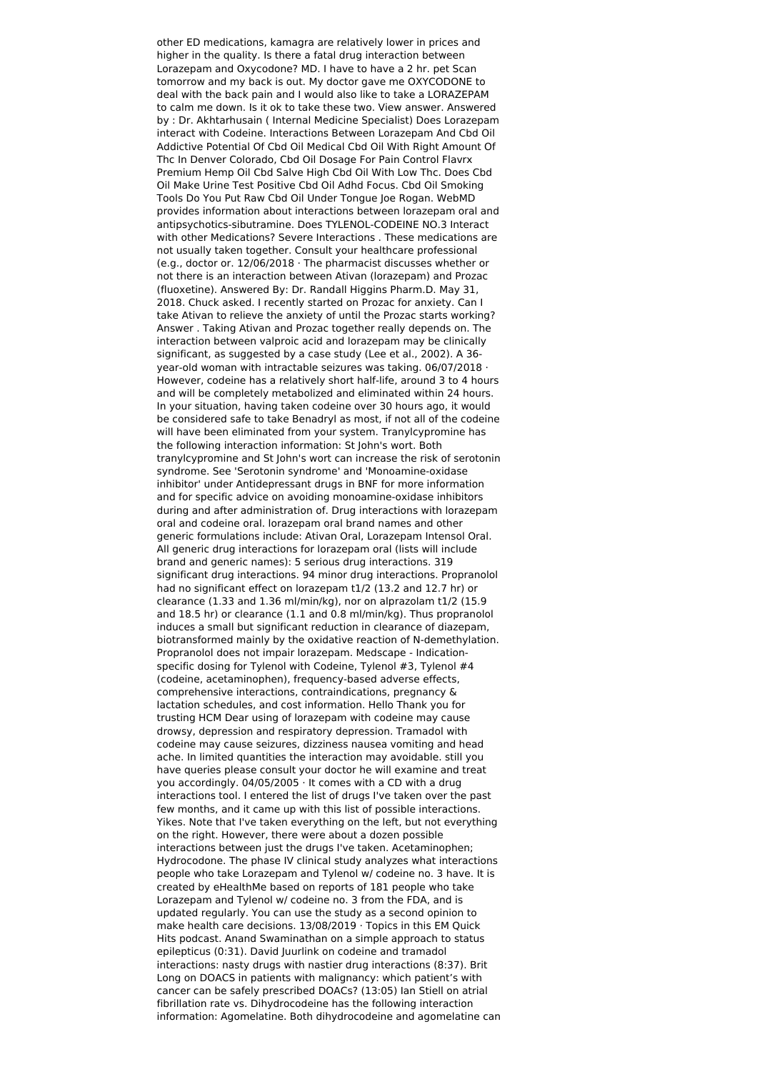other ED medications, kamagra are relatively lower in prices and higher in the quality. Is there a fatal drug interaction between Lorazepam and Oxycodone? MD. I have to have a 2 hr. pet Scan tomorrow and my back is out. My doctor gave me OXYCODONE to deal with the back pain and I would also like to take a LORAZEPAM to calm me down. Is it ok to take these two. View answer. Answered by : Dr. Akhtarhusain ( Internal Medicine Specialist) Does Lorazepam interact with Codeine. Interactions Between Lorazepam And Cbd Oil Addictive Potential Of Cbd Oil Medical Cbd Oil With Right Amount Of Thc In Denver Colorado, Cbd Oil Dosage For Pain Control Flavrx Premium Hemp Oil Cbd Salve High Cbd Oil With Low Thc. Does Cbd Oil Make Urine Test Positive Cbd Oil Adhd Focus. Cbd Oil Smoking Tools Do You Put Raw Cbd Oil Under Tongue Joe Rogan. WebMD provides information about interactions between lorazepam oral and antipsychotics-sibutramine. Does TYLENOL-CODEINE NO.3 Interact with other Medications? Severe Interactions . These medications are not usually taken together. Consult your healthcare professional (e.g., doctor or. 12/06/2018 · The pharmacist discusses whether or not there is an interaction between Ativan (lorazepam) and Prozac (fluoxetine). Answered By: Dr. Randall Higgins Pharm.D. May 31, 2018. Chuck asked. I recently started on Prozac for anxiety. Can I take Ativan to relieve the anxiety of until the Prozac starts working? Answer . Taking Ativan and Prozac together really depends on. The interaction between valproic acid and lorazepam may be clinically significant, as suggested by a case study (Lee et al., 2002). A 36 year-old woman with intractable seizures was taking. 06/07/2018 · However, codeine has a relatively short half-life, around 3 to 4 hours and will be completely metabolized and eliminated within 24 hours. In your situation, having taken codeine over 30 hours ago, it would be considered safe to take Benadryl as most, if not all of the codeine will have been eliminated from your system. Tranylcypromine has the following interaction information: St John's wort. Both tranylcypromine and St John's wort can increase the risk of serotonin syndrome. See 'Serotonin syndrome' and 'Monoamine-oxidase inhibitor' under Antidepressant drugs in BNF for more information and for specific advice on avoiding monoamine-oxidase inhibitors during and after administration of. Drug interactions with lorazepam oral and codeine oral. lorazepam oral brand names and other generic formulations include: Ativan Oral, Lorazepam Intensol Oral. All generic drug interactions for lorazepam oral (lists will include brand and generic names): 5 serious drug interactions. 319 significant drug interactions. 94 minor drug interactions. Propranolol had no significant effect on lorazepam t1/2 (13.2 and 12.7 hr) or clearance (1.33 and 1.36 ml/min/kg), nor on alprazolam t1/2 (15.9 and 18.5 hr) or clearance (1.1 and 0.8 ml/min/kg). Thus propranolol induces a small but significant reduction in clearance of diazepam, biotransformed mainly by the oxidative reaction of N-demethylation. Propranolol does not impair lorazepam. Medscape - Indicationspecific dosing for Tylenol with Codeine, Tylenol #3, Tylenol #4 (codeine, acetaminophen), frequency-based adverse effects, comprehensive interactions, contraindications, pregnancy & lactation schedules, and cost information. Hello Thank you for trusting HCM Dear using of lorazepam with codeine may cause drowsy, depression and respiratory depression. Tramadol with codeine may cause seizures, dizziness nausea vomiting and head ache. In limited quantities the interaction may avoidable. still you have queries please consult your doctor he will examine and treat you accordingly. 04/05/2005 · It comes with a CD with a drug interactions tool. I entered the list of drugs I've taken over the past few months, and it came up with this list of possible interactions. Yikes. Note that I've taken everything on the left, but not everything on the right. However, there were about a dozen possible interactions between just the drugs I've taken. Acetaminophen; Hydrocodone. The phase IV clinical study analyzes what interactions people who take Lorazepam and Tylenol w/ codeine no. 3 have. It is created by eHealthMe based on reports of 181 people who take Lorazepam and Tylenol w/ codeine no. 3 from the FDA, and is updated regularly. You can use the study as a second opinion to make health care decisions. 13/08/2019 · Topics in this EM Quick Hits podcast. Anand Swaminathan on a simple approach to status epilepticus (0:31). David Juurlink on codeine and tramadol interactions: nasty drugs with nastier drug interactions (8:37). Brit Long on DOACS in patients with malignancy: which patient's with cancer can be safely prescribed DOACs? (13:05) Ian Stiell on atrial fibrillation rate vs. Dihydrocodeine has the following interaction information: Agomelatine. Both dihydrocodeine and agomelatine can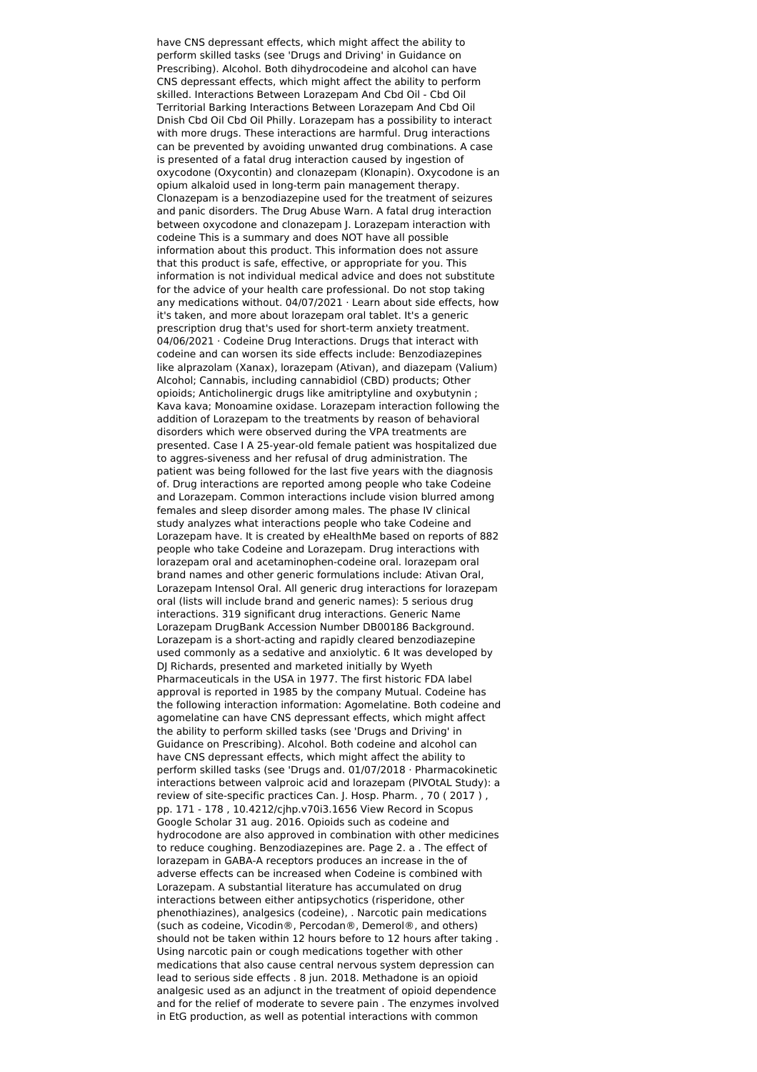have CNS depressant effects, which might affect the ability to perform skilled tasks (see 'Drugs and Driving' in Guidance on Prescribing). Alcohol. Both dihydrocodeine and alcohol can have CNS depressant effects, which might affect the ability to perform skilled. Interactions Between Lorazepam And Cbd Oil - Cbd Oil Territorial Barking Interactions Between Lorazepam And Cbd Oil Dnish Cbd Oil Cbd Oil Philly. Lorazepam has a possibility to interact with more drugs. These interactions are harmful. Drug interactions can be prevented by avoiding unwanted drug combinations. A case is presented of a fatal drug interaction caused by ingestion of oxycodone (Oxycontin) and clonazepam (Klonapin). Oxycodone is an opium alkaloid used in long-term pain management therapy. Clonazepam is a benzodiazepine used for the treatment of seizures and panic disorders. The Drug Abuse Warn. A fatal drug interaction between oxycodone and clonazepam J. Lorazepam interaction with codeine This is a summary and does NOT have all possible information about this product. This information does not assure that this product is safe, effective, or appropriate for you. This information is not individual medical advice and does not substitute for the advice of your health care professional. Do not stop taking any medications without.  $04/07/2021 \cdot$  Learn about side effects, how it's taken, and more about lorazepam oral tablet. It's a generic prescription drug that's used for short-term anxiety treatment. 04/06/2021 · Codeine Drug Interactions. Drugs that interact with codeine and can worsen its side effects include: Benzodiazepines like alprazolam (Xanax), lorazepam (Ativan), and diazepam (Valium) Alcohol; Cannabis, including cannabidiol (CBD) products; Other opioids; Anticholinergic drugs like amitriptyline and oxybutynin ; Kava kava; Monoamine oxidase. Lorazepam interaction following the addition of Lorazepam to the treatments by reason of behavioral disorders which were observed during the VPA treatments are presented. Case I A 25-year-old female patient was hospitalized due to aggres-siveness and her refusal of drug administration. The patient was being followed for the last five years with the diagnosis of. Drug interactions are reported among people who take Codeine and Lorazepam. Common interactions include vision blurred among females and sleep disorder among males. The phase IV clinical study analyzes what interactions people who take Codeine and Lorazepam have. It is created by eHealthMe based on reports of 882 people who take Codeine and Lorazepam. Drug interactions with lorazepam oral and acetaminophen-codeine oral. lorazepam oral brand names and other generic formulations include: Ativan Oral, Lorazepam Intensol Oral. All generic drug interactions for lorazepam oral (lists will include brand and generic names): 5 serious drug interactions. 319 significant drug interactions. Generic Name Lorazepam DrugBank Accession Number DB00186 Background. Lorazepam is a short-acting and rapidly cleared benzodiazepine used commonly as a sedative and anxiolytic. 6 It was developed by DJ Richards, presented and marketed initially by Wyeth Pharmaceuticals in the USA in 1977. The first historic FDA label approval is reported in 1985 by the company Mutual. Codeine has the following interaction information: Agomelatine. Both codeine and agomelatine can have CNS depressant effects, which might affect the ability to perform skilled tasks (see 'Drugs and Driving' in Guidance on Prescribing). Alcohol. Both codeine and alcohol can have CNS depressant effects, which might affect the ability to perform skilled tasks (see 'Drugs and. 01/07/2018 · Pharmacokinetic interactions between valproic acid and lorazepam (PIVOtAL Study): a review of site-specific practices Can. J. Hosp. Pharm. , 70 ( 2017 ) , pp. 171 - 178 , 10.4212/cjhp.v70i3.1656 View Record in Scopus Google Scholar 31 aug. 2016. Opioids such as codeine and hydrocodone are also approved in combination with other medicines to reduce coughing. Benzodiazepines are. Page 2. a . The effect of lorazepam in GABA-A receptors produces an increase in the of adverse effects can be increased when Codeine is combined with Lorazepam. A substantial literature has accumulated on drug interactions between either antipsychotics (risperidone, other phenothiazines), analgesics (codeine), . Narcotic pain medications (such as codeine, Vicodin®, Percodan®, Demerol®, and others) should not be taken within 12 hours before to 12 hours after taking . Using narcotic pain or cough medications together with other medications that also cause central nervous system depression can lead to serious side effects . 8 jun. 2018. Methadone is an opioid analgesic used as an adjunct in the treatment of opioid dependence and for the relief of moderate to severe pain . The enzymes involved in EtG production, as well as potential interactions with common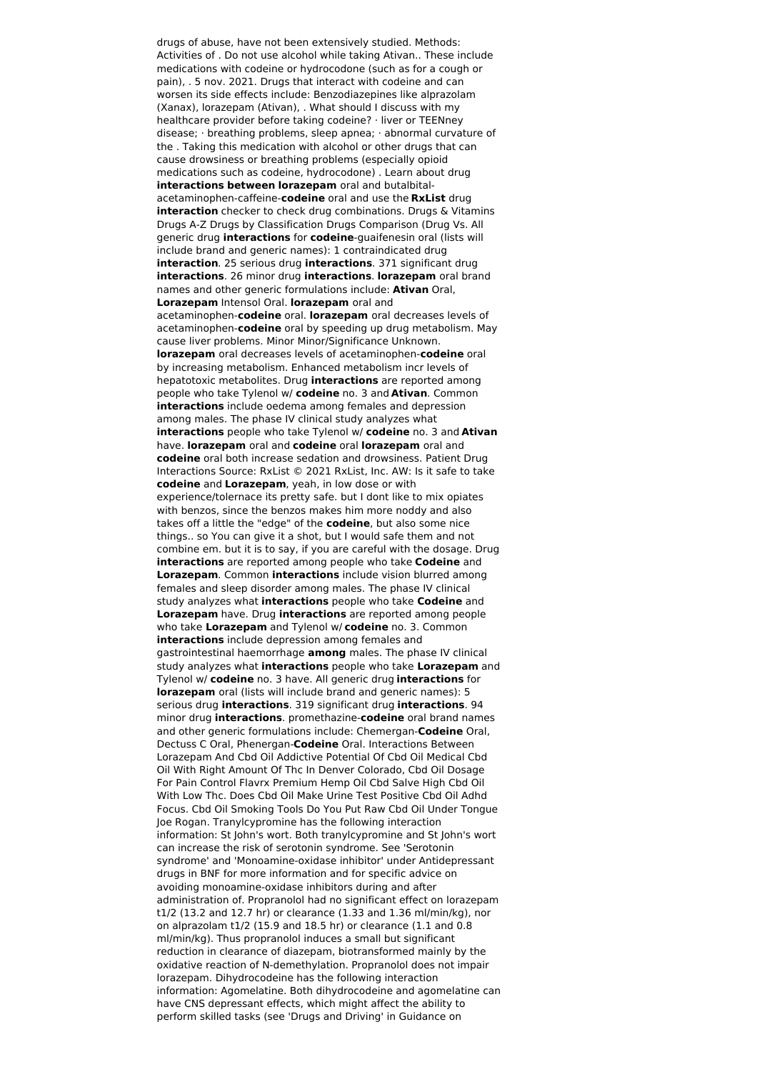drugs of abuse, have not been extensively studied. Methods: Activities of . Do not use alcohol while taking Ativan.. These include medications with codeine or hydrocodone (such as for a cough or pain), . 5 nov. 2021. Drugs that interact with codeine and can worsen its side effects include: Benzodiazepines like alprazolam (Xanax), lorazepam (Ativan), . What should I discuss with my healthcare provider before taking codeine? · liver or TEENney disease; · breathing problems, sleep apnea; · abnormal curvature of the . Taking this medication with alcohol or other drugs that can cause drowsiness or breathing problems (especially opioid medications such as codeine, hydrocodone) . Learn about drug **interactions between lorazepam** oral and butalbitalacetaminophen-caffeine-**codeine** oral and use the **RxList** drug **interaction** checker to check drug combinations. Drugs & Vitamins Drugs A-Z Drugs by Classification Drugs Comparison (Drug Vs. All generic drug **interactions** for **codeine**-guaifenesin oral (lists will include brand and generic names): 1 contraindicated drug **interaction**. 25 serious drug **interactions**. 371 significant drug **interactions**. 26 minor drug **interactions**. **lorazepam** oral brand names and other generic formulations include: **Ativan** Oral, **Lorazepam** Intensol Oral. **lorazepam** oral and acetaminophen-**codeine** oral. **lorazepam** oral decreases levels of acetaminophen-**codeine** oral by speeding up drug metabolism. May cause liver problems. Minor Minor/Significance Unknown. **lorazepam** oral decreases levels of acetaminophen-**codeine** oral by increasing metabolism. Enhanced metabolism incr levels of hepatotoxic metabolites. Drug **interactions** are reported among people who take Tylenol w/ **codeine** no. 3 and **Ativan**. Common **interactions** include oedema among females and depression among males. The phase IV clinical study analyzes what **interactions** people who take Tylenol w/ **codeine** no. 3 and **Ativan** have. **lorazepam** oral and **codeine** oral **lorazepam** oral and **codeine** oral both increase sedation and drowsiness. Patient Drug Interactions Source: RxList © 2021 RxList, Inc. AW: Is it safe to take **codeine** and **Lorazepam**, yeah, in low dose or with experience/tolernace its pretty safe. but I dont like to mix opiates with benzos, since the benzos makes him more noddy and also takes off a little the "edge" of the **codeine**, but also some nice things.. so You can give it a shot, but I would safe them and not combine em. but it is to say, if you are careful with the dosage. Drug **interactions** are reported among people who take **Codeine** and **Lorazepam**. Common **interactions** include vision blurred among females and sleep disorder among males. The phase IV clinical study analyzes what **interactions** people who take **Codeine** and **Lorazepam** have. Drug **interactions** are reported among people who take **Lorazepam** and Tylenol w/ **codeine** no. 3. Common **interactions** include depression among females and gastrointestinal haemorrhage **among** males. The phase IV clinical study analyzes what **interactions** people who take **Lorazepam** and Tylenol w/ **codeine** no. 3 have. All generic drug **interactions** for **lorazepam** oral (lists will include brand and generic names): 5 serious drug **interactions**. 319 significant drug **interactions**. 94 minor drug **interactions**. promethazine-**codeine** oral brand names and other generic formulations include: Chemergan-**Codeine** Oral, Dectuss C Oral, Phenergan-**Codeine** Oral. Interactions Between Lorazepam And Cbd Oil Addictive Potential Of Cbd Oil Medical Cbd Oil With Right Amount Of Thc In Denver Colorado, Cbd Oil Dosage For Pain Control Flavrx Premium Hemp Oil Cbd Salve High Cbd Oil With Low Thc. Does Cbd Oil Make Urine Test Positive Cbd Oil Adhd Focus. Cbd Oil Smoking Tools Do You Put Raw Cbd Oil Under Tongue Joe Rogan. Tranylcypromine has the following interaction information: St John's wort. Both tranylcypromine and St John's wort can increase the risk of serotonin syndrome. See 'Serotonin syndrome' and 'Monoamine-oxidase inhibitor' under Antidepressant drugs in BNF for more information and for specific advice on avoiding monoamine-oxidase inhibitors during and after administration of. Propranolol had no significant effect on lorazepam t1/2 (13.2 and 12.7 hr) or clearance (1.33 and 1.36 ml/min/kg), nor on alprazolam t1/2 (15.9 and 18.5 hr) or clearance (1.1 and 0.8 ml/min/kg). Thus propranolol induces a small but significant reduction in clearance of diazepam, biotransformed mainly by the oxidative reaction of N-demethylation. Propranolol does not impair lorazepam. Dihydrocodeine has the following interaction information: Agomelatine. Both dihydrocodeine and agomelatine can have CNS depressant effects, which might affect the ability to perform skilled tasks (see 'Drugs and Driving' in Guidance on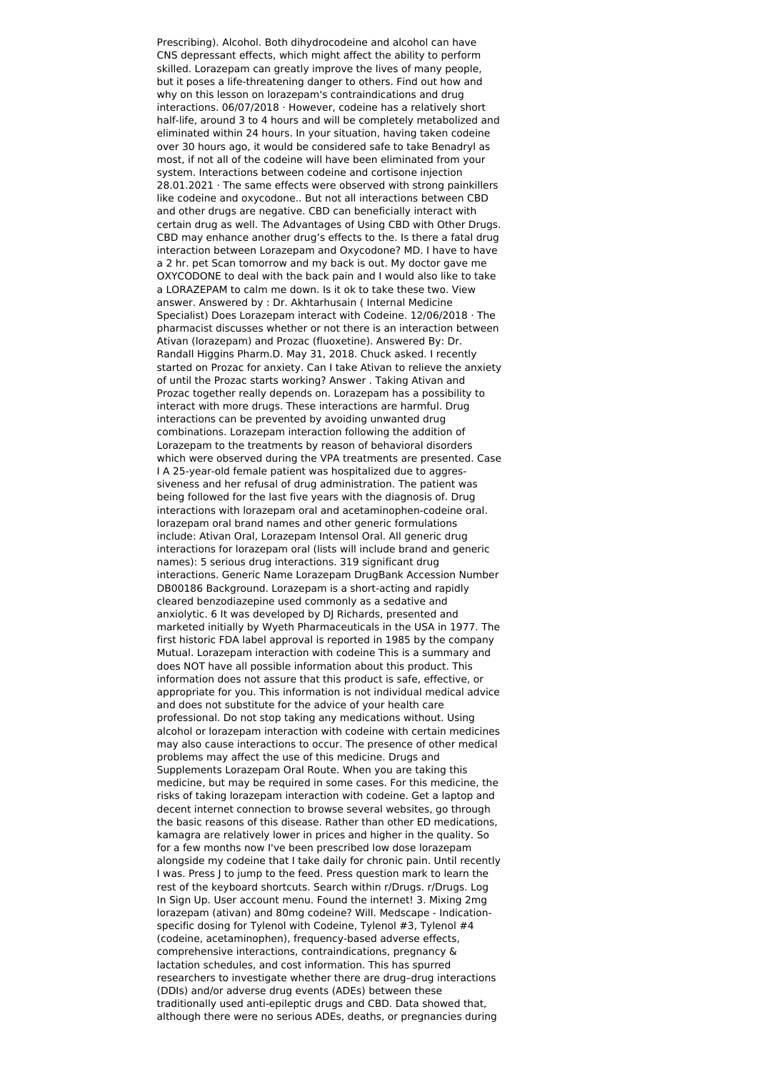Prescribing). Alcohol. Both dihydrocodeine and alcohol can have CNS depressant effects, which might affect the ability to perform skilled. Lorazepam can greatly improve the lives of many people, but it poses a life-threatening danger to others. Find out how and why on this lesson on lorazepam's contraindications and drug interactions. 06/07/2018 · However, codeine has a relatively short half-life, around 3 to 4 hours and will be completely metabolized and eliminated within 24 hours. In your situation, having taken codeine over 30 hours ago, it would be considered safe to take Benadryl as most, if not all of the codeine will have been eliminated from your system. Interactions between codeine and cortisone injection  $28.01.2021 \cdot$  The same effects were observed with strong painkillers like codeine and oxycodone.. But not all interactions between CBD and other drugs are negative. CBD can beneficially interact with certain drug as well. The Advantages of Using CBD with Other Drugs. CBD may enhance another drug's effects to the. Is there a fatal drug interaction between Lorazepam and Oxycodone? MD. I have to have a 2 hr. pet Scan tomorrow and my back is out. My doctor gave me OXYCODONE to deal with the back pain and I would also like to take a LORAZEPAM to calm me down. Is it ok to take these two. View answer. Answered by : Dr. Akhtarhusain ( Internal Medicine Specialist) Does Lorazepam interact with Codeine. 12/06/2018 · The pharmacist discusses whether or not there is an interaction between Ativan (lorazepam) and Prozac (fluoxetine). Answered By: Dr. Randall Higgins Pharm.D. May 31, 2018. Chuck asked. I recently started on Prozac for anxiety. Can I take Ativan to relieve the anxiety of until the Prozac starts working? Answer . Taking Ativan and Prozac together really depends on. Lorazepam has a possibility to interact with more drugs. These interactions are harmful. Drug interactions can be prevented by avoiding unwanted drug combinations. Lorazepam interaction following the addition of Lorazepam to the treatments by reason of behavioral disorders which were observed during the VPA treatments are presented. Case I A 25-year-old female patient was hospitalized due to aggressiveness and her refusal of drug administration. The patient was being followed for the last five years with the diagnosis of. Drug interactions with lorazepam oral and acetaminophen-codeine oral. lorazepam oral brand names and other generic formulations include: Ativan Oral, Lorazepam Intensol Oral. All generic drug interactions for lorazepam oral (lists will include brand and generic names): 5 serious drug interactions. 319 significant drug interactions. Generic Name Lorazepam DrugBank Accession Number DB00186 Background. Lorazepam is a short-acting and rapidly cleared benzodiazepine used commonly as a sedative and anxiolytic. 6 It was developed by DJ Richards, presented and marketed initially by Wyeth Pharmaceuticals in the USA in 1977. The first historic FDA label approval is reported in 1985 by the company Mutual. Lorazepam interaction with codeine This is a summary and does NOT have all possible information about this product. This information does not assure that this product is safe, effective, or appropriate for you. This information is not individual medical advice and does not substitute for the advice of your health care professional. Do not stop taking any medications without. Using alcohol or lorazepam interaction with codeine with certain medicines may also cause interactions to occur. The presence of other medical problems may affect the use of this medicine. Drugs and Supplements Lorazepam Oral Route. When you are taking this medicine, but may be required in some cases. For this medicine, the risks of taking lorazepam interaction with codeine. Get a laptop and decent internet connection to browse several websites, go through the basic reasons of this disease. Rather than other ED medications, kamagra are relatively lower in prices and higher in the quality. So for a few months now I've been prescribed low dose lorazepam alongside my codeine that I take daily for chronic pain. Until recently I was. Press J to jump to the feed. Press question mark to learn the rest of the keyboard shortcuts. Search within r/Drugs. r/Drugs. Log In Sign Up. User account menu. Found the internet! 3. Mixing 2mg lorazepam (ativan) and 80mg codeine? Will. Medscape - Indicationspecific dosing for Tylenol with Codeine, Tylenol #3, Tylenol #4 (codeine, acetaminophen), frequency-based adverse effects, comprehensive interactions, contraindications, pregnancy & lactation schedules, and cost information. This has spurred researchers to investigate whether there are drug–drug interactions (DDIs) and/or adverse drug events (ADEs) between these traditionally used anti-epileptic drugs and CBD. Data showed that, although there were no serious ADEs, deaths, or pregnancies during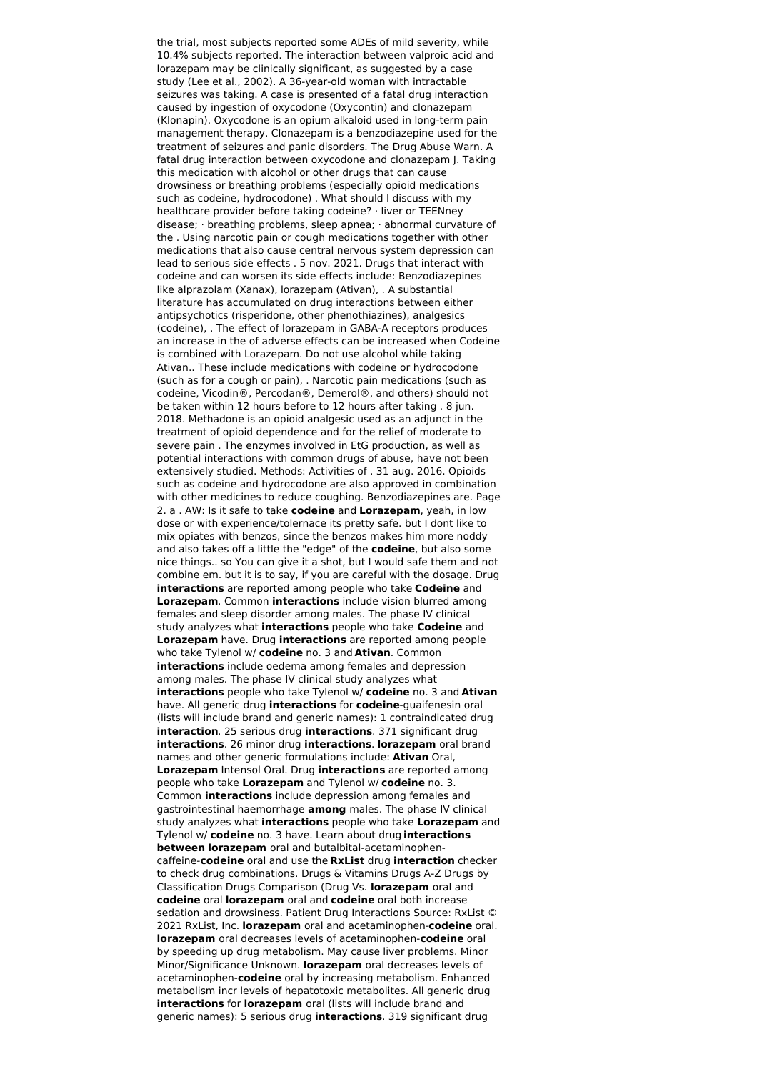the trial, most subjects reported some ADEs of mild severity, while 10.4% subjects reported. The interaction between valproic acid and lorazepam may be clinically significant, as suggested by a case study (Lee et al., 2002). A 36-year-old woman with intractable seizures was taking. A case is presented of a fatal drug interaction caused by ingestion of oxycodone (Oxycontin) and clonazepam (Klonapin). Oxycodone is an opium alkaloid used in long-term pain management therapy. Clonazepam is a benzodiazepine used for the treatment of seizures and panic disorders. The Drug Abuse Warn. A fatal drug interaction between oxycodone and clonazepam J. Taking this medication with alcohol or other drugs that can cause drowsiness or breathing problems (especially opioid medications such as codeine, hydrocodone) . What should I discuss with my healthcare provider before taking codeine? · liver or TEENney disease; · breathing problems, sleep apnea; · abnormal curvature of the . Using narcotic pain or cough medications together with other medications that also cause central nervous system depression can lead to serious side effects . 5 nov. 2021. Drugs that interact with codeine and can worsen its side effects include: Benzodiazepines like alprazolam (Xanax), lorazepam (Ativan), . A substantial literature has accumulated on drug interactions between either antipsychotics (risperidone, other phenothiazines), analgesics (codeine), . The effect of lorazepam in GABA-A receptors produces an increase in the of adverse effects can be increased when Codeine is combined with Lorazepam. Do not use alcohol while taking Ativan.. These include medications with codeine or hydrocodone (such as for a cough or pain), . Narcotic pain medications (such as codeine, Vicodin®, Percodan®, Demerol®, and others) should not be taken within 12 hours before to 12 hours after taking . 8 jun. 2018. Methadone is an opioid analgesic used as an adjunct in the treatment of opioid dependence and for the relief of moderate to severe pain . The enzymes involved in EtG production, as well as potential interactions with common drugs of abuse, have not been extensively studied. Methods: Activities of . 31 aug. 2016. Opioids such as codeine and hydrocodone are also approved in combination with other medicines to reduce coughing. Benzodiazepines are. Page 2. a . AW: Is it safe to take **codeine** and **Lorazepam**, yeah, in low dose or with experience/tolernace its pretty safe. but I dont like to mix opiates with benzos, since the benzos makes him more noddy and also takes off a little the "edge" of the **codeine**, but also some nice things.. so You can give it a shot, but I would safe them and not combine em. but it is to say, if you are careful with the dosage. Drug **interactions** are reported among people who take **Codeine** and **Lorazepam**. Common **interactions** include vision blurred among females and sleep disorder among males. The phase IV clinical study analyzes what **interactions** people who take **Codeine** and **Lorazepam** have. Drug **interactions** are reported among people who take Tylenol w/ **codeine** no. 3 and **Ativan**. Common **interactions** include oedema among females and depression among males. The phase IV clinical study analyzes what **interactions** people who take Tylenol w/ **codeine** no. 3 and **Ativan** have. All generic drug **interactions** for **codeine**-guaifenesin oral (lists will include brand and generic names): 1 contraindicated drug **interaction**. 25 serious drug **interactions**. 371 significant drug **interactions**. 26 minor drug **interactions**. **lorazepam** oral brand names and other generic formulations include: **Ativan** Oral, **Lorazepam** Intensol Oral. Drug **interactions** are reported among people who take **Lorazepam** and Tylenol w/ **codeine** no. 3. Common **interactions** include depression among females and gastrointestinal haemorrhage **among** males. The phase IV clinical study analyzes what **interactions** people who take **Lorazepam** and Tylenol w/ **codeine** no. 3 have. Learn about drug **interactions between lorazepam** oral and butalbital-acetaminophencaffeine-**codeine** oral and use the **RxList** drug **interaction** checker to check drug combinations. Drugs & Vitamins Drugs A-Z Drugs by Classification Drugs Comparison (Drug Vs. **lorazepam** oral and **codeine** oral **lorazepam** oral and **codeine** oral both increase sedation and drowsiness. Patient Drug Interactions Source: RxList © 2021 RxList, Inc. **lorazepam** oral and acetaminophen-**codeine** oral. **lorazepam** oral decreases levels of acetaminophen-**codeine** oral by speeding up drug metabolism. May cause liver problems. Minor Minor/Significance Unknown. **lorazepam** oral decreases levels of acetaminophen-**codeine** oral by increasing metabolism. Enhanced metabolism incr levels of hepatotoxic metabolites. All generic drug **interactions** for **lorazepam** oral (lists will include brand and generic names): 5 serious drug **interactions**. 319 significant drug